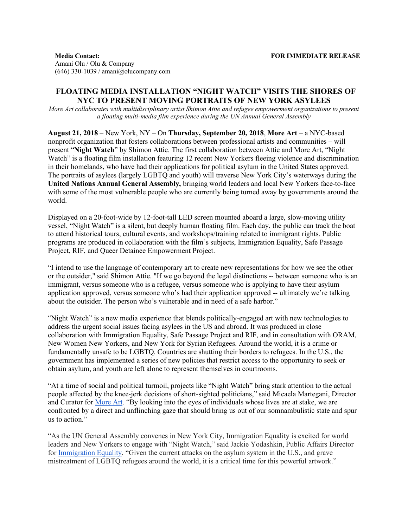**Media Contact:** Amani Olu / Olu & Company  $(646)$  330-1039 / amani $@$ olucompany.com

# **FLOATING MEDIA INSTALLATION "NIGHT WATCH" VISITS THE SHORES OF NYC TO PRESENT MOVING PORTRAITS OF NEW YORK ASYLEES**

*More Art collaborates with multidisciplinary artist Shimon Attie and refugee empowerment organizations to present a floating multi-media film experience during the UN Annual General Assembly*

**August 21, 2018** – New York, NY – On **Thursday, September 20, 2018**, **More Art** – a NYC-based nonprofit organization that fosters collaborations between professional artists and communities – will present "**Night Watch**" by Shimon Attie. The first collaboration between Attie and More Art, "Night Watch" is a floating film installation featuring 12 recent New Yorkers fleeing violence and discrimination in their homelands, who have had their applications for political asylum in the United States approved. The portraits of asylees (largely LGBTQ and youth) will traverse New York City's waterways during the **United Nations Annual General Assembly,** bringing world leaders and local New Yorkers face-to-face with some of the most vulnerable people who are currently being turned away by governments around the world.

Displayed on a 20-foot-wide by 12-foot-tall LED screen mounted aboard a large, slow-moving utility vessel, "Night Watch" is a silent, but deeply human floating film. Each day, the public can track the boat to attend historical tours, cultural events, and workshops/training related to immigrant rights. Public programs are produced in collaboration with the film's subjects, Immigration Equality, Safe Passage Project, RIF, and Queer Detainee Empowerment Project.

"I intend to use the language of contemporary art to create new representations for how we see the other or the outsider," said Shimon Attie. "If we go beyond the legal distinctions -- between someone who is an immigrant, versus someone who is a refugee, versus someone who is applying to have their asylum application approved, versus someone who's had their application approved -- ultimately we're talking about the outsider. The person who's vulnerable and in need of a safe harbor."

"Night Watch" is a new media experience that blends politically-engaged art with new technologies to address the urgent social issues facing asylees in the US and abroad. It was produced in close collaboration with Immigration Equality, Safe Passage Project and RIF, and in consultation with ORAM, New Women New Yorkers, and New York for Syrian Refugees. Around the world, it is a crime or fundamentally unsafe to be LGBTQ. Countries are shutting their borders to refugees. In the U.S., the government has implemented a series of new policies that restrict access to the opportunity to seek or obtain asylum, and youth are left alone to represent themselves in courtrooms.

"At a time of social and political turmoil, projects like "Night Watch" bring stark attention to the actual people affected by the knee-jerk decisions of short-sighted politicians," said Micaela Martegani, Director and Curator for More Art. ["By lo](http://moreart.org/)oking into the eyes of individuals whose lives are at stake, we are confronted by a direct and unflinching gaze that should bring us out of our somnambulistic state and spur us to action."

"As the UN General Assembly convenes in New York City, Immigration Equality is excited for world leaders and New Yorkers to engage with "Night Watch," said Jackie Yodashkin, Public Affairs Director for Immigration Equality. ["Given the current](http://immigrationequality.org/) attacks on the asylum system in the U.S., and grave mistreatment of LGBTQ refugees around the world, it is a critical time for this powerful artwork."